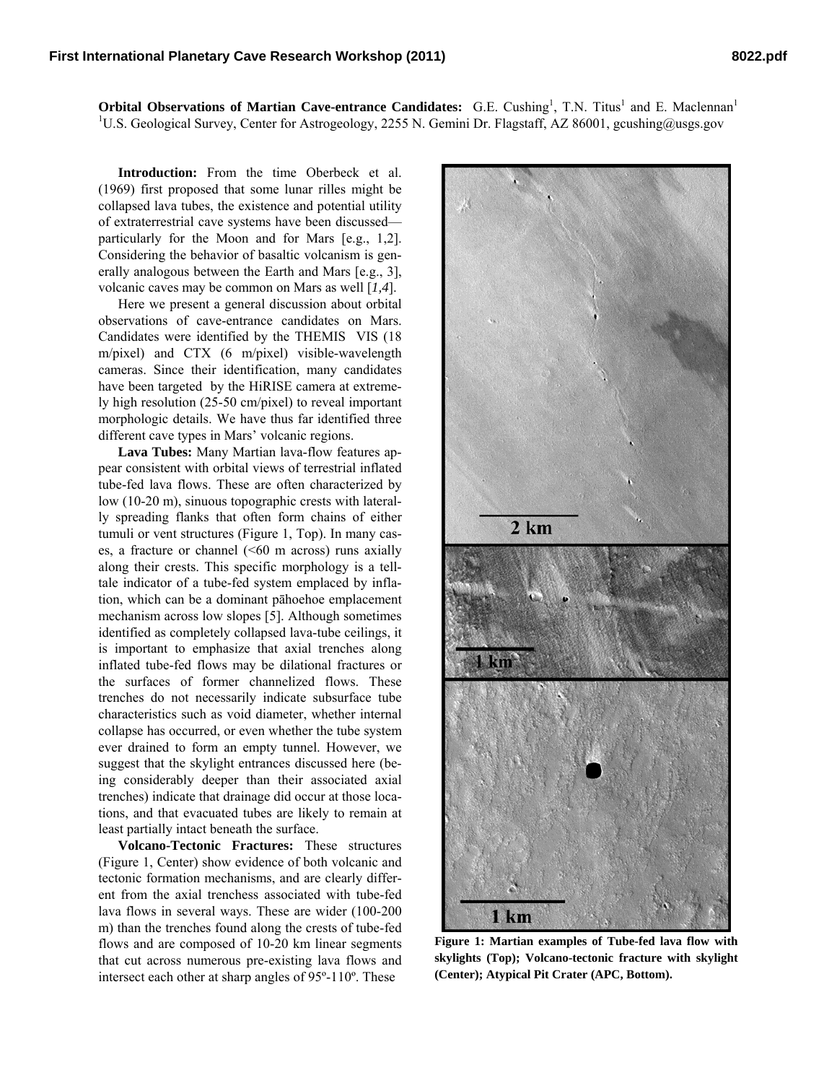**Orbital Observations of Martian Cave-entrance Candidates:** G.E. Cushing<sup>1</sup>, T.N. Titus<sup>1</sup> and E. Maclennan<sup>1</sup> <sup>1</sup>U.S. Geological Survey, Center for Astrogeology, 2255 N. Gemini Dr. Flagstaff, AZ 86001, gcushing@usgs.gov

**Introduction:** From the time Oberbeck et al. (1969) first proposed that some lunar rilles might be collapsed lava tubes, the existence and potential utility of extraterrestrial cave systems have been discussed particularly for the Moon and for Mars [e.g., 1,2]. Considering the behavior of basaltic volcanism is generally analogous between the Earth and Mars [e.g., 3], volcanic caves may be common on Mars as well [*1,4*].

Here we present a general discussion about orbital observations of cave-entrance candidates on Mars. Candidates were identified by the THEMIS VIS (18 m/pixel) and CTX (6 m/pixel) visible-wavelength cameras. Since their identification, many candidates have been targeted by the HiRISE camera at extremely high resolution (25-50 cm/pixel) to reveal important morphologic details. We have thus far identified three different cave types in Mars' volcanic regions.

**Lava Tubes:** Many Martian lava-flow features appear consistent with orbital views of terrestrial inflated tube-fed lava flows. These are often characterized by low (10-20 m), sinuous topographic crests with laterally spreading flanks that often form chains of either tumuli or vent structures (Figure 1, Top). In many cases, a fracture or channel  $(560 \text{ m } \arccos)$  runs axially along their crests. This specific morphology is a telltale indicator of a tube-fed system emplaced by inflation, which can be a dominant pāhoehoe emplacement mechanism across low slopes [5]. Although sometimes identified as completely collapsed lava-tube ceilings, it is important to emphasize that axial trenches along inflated tube-fed flows may be dilational fractures or the surfaces of former channelized flows. These trenches do not necessarily indicate subsurface tube characteristics such as void diameter, whether internal collapse has occurred, or even whether the tube system ever drained to form an empty tunnel. However, we suggest that the skylight entrances discussed here (being considerably deeper than their associated axial trenches) indicate that drainage did occur at those locations, and that evacuated tubes are likely to remain at least partially intact beneath the surface.

**Volcano-Tectonic Fractures:** These structures (Figure 1, Center) show evidence of both volcanic and tectonic formation mechanisms, and are clearly different from the axial trenchess associated with tube-fed lava flows in several ways. These are wider (100-200 m) than the trenches found along the crests of tube-fed flows and are composed of 10-20 km linear segments that cut across numerous pre-existing lava flows and intersect each other at sharp angles of 95º-110º. These



**Figure 1: Martian examples of Tube-fed lava flow with skylights (Top); Volcano-tectonic fracture with skylight (Center); Atypical Pit Crater (APC, Bottom).**